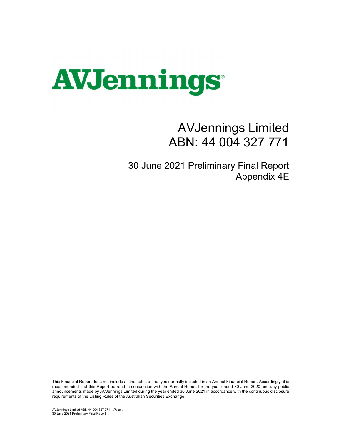

## AVJennings Limited ABN: 44 004 327 771

30 June 2021 Preliminary Final Report Appendix 4E

This Financial Report does not include all the notes of the type normally included in an Annual Financial Report. Accordingly, it is recommended that this Report be read in conjunction with the Annual Report for the year ended 30 June 2020 and any public announcements made by AVJennings Limited during the year ended 30 June 2021 in accordance with the continuous disclosure requirements of the Listing Rules of the Australian Securities Exchange.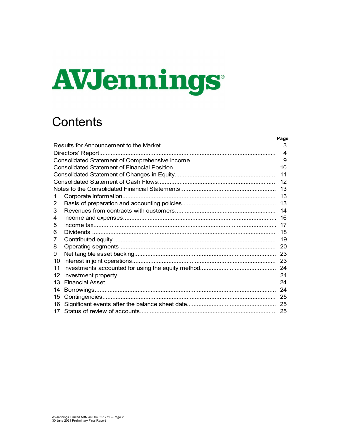# AVJennings

# **Contents**

|    | rage           |
|----|----------------|
|    | 3              |
|    | $\overline{4}$ |
|    | 9              |
|    | 10             |
|    | 11             |
|    | 12             |
|    | 13             |
|    | 13             |
| 2  | 13             |
| 3  | 14             |
| 4  | 16             |
| 5  | 17             |
| 6  | 18             |
| 7  | 19             |
| 8  | 20             |
| 9  | 23             |
| 10 | 23             |
| 11 | 24             |
| 12 | 24             |
| 13 | 24             |
| 14 | 24             |
| 15 | 25             |
| 16 | 25             |
| 17 | 25             |

 $D = 44$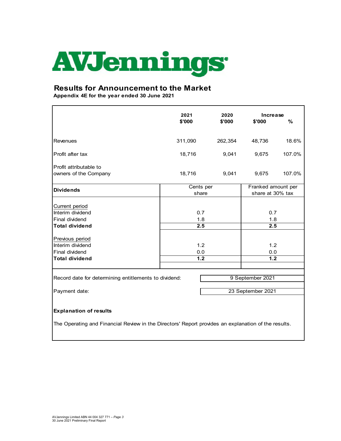

### **Results for Announcement to the Market**

**Appendix 4E for the year ended 30 June 2021**

|                                                                                                     | 2021      | 2020    | <b>Increase</b>    |        |  |
|-----------------------------------------------------------------------------------------------------|-----------|---------|--------------------|--------|--|
|                                                                                                     | \$'000    | \$'000  | \$'000             | %      |  |
|                                                                                                     |           |         |                    |        |  |
| Revenues                                                                                            | 311,090   | 262,354 | 48,736             | 18.6%  |  |
| Profit after tax                                                                                    | 18,716    | 9,041   | 9,675              | 107.0% |  |
| Profit attributable to                                                                              |           |         |                    |        |  |
| owners of the Company                                                                               | 18,716    | 9,041   | 9,675              | 107.0% |  |
| <b>Dividends</b>                                                                                    | Cents per |         | Franked amount per |        |  |
|                                                                                                     | share     |         | share at 30% tax   |        |  |
| Current period                                                                                      |           |         |                    |        |  |
| Interim dividend                                                                                    | 0.7       |         | 0.7                |        |  |
| Final dividend                                                                                      | 1.8       |         | 1.8                |        |  |
| <b>Total dividend</b>                                                                               | 2.5       |         | 2.5                |        |  |
|                                                                                                     |           |         |                    |        |  |
| Previous period                                                                                     |           |         |                    |        |  |
| Interim dividend                                                                                    | 1.2       |         | 1.2                |        |  |
| Final dividend<br><b>Total dividend</b>                                                             | 0.0       |         | 0.0                |        |  |
|                                                                                                     | 1.2       |         | 1.2                |        |  |
|                                                                                                     |           |         |                    |        |  |
| Record date for determining entitlements to dividend:                                               |           |         | 9 September 2021   |        |  |
|                                                                                                     |           |         |                    |        |  |
| Payment date:                                                                                       |           |         | 23 September 2021  |        |  |
|                                                                                                     |           |         |                    |        |  |
| <b>Explanation of results</b>                                                                       |           |         |                    |        |  |
| The Operating and Financial Review in the Directors' Report provides an explanation of the results. |           |         |                    |        |  |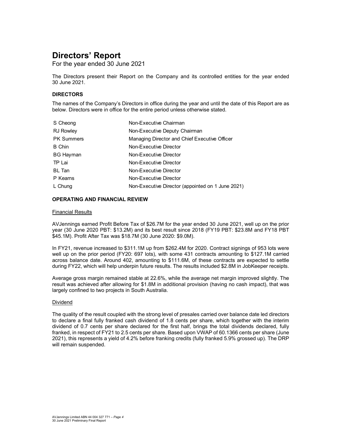For the year ended 30 June 2021

The Directors present their Report on the Company and its controlled entities for the year ended 30 June 2021.

### **DIRECTORS**

The names of the Company's Directors in office during the year and until the date of this Report are as below. Directors were in office for the entire period unless otherwise stated.

| S Cheong          | Non-Executive Chairman                            |
|-------------------|---------------------------------------------------|
| <b>RJ Rowley</b>  | Non-Executive Deputy Chairman                     |
| <b>PK Summers</b> | Managing Director and Chief Executive Officer     |
| <b>B</b> Chin     | Non-Executive Director                            |
| <b>BG Hayman</b>  | Non-Executive Director                            |
| TP Lai            | Non-Executive Director                            |
| <b>BL</b> Tan     | Non-Executive Director                            |
| P Kearns          | Non-Executive Director                            |
| L Chung           | Non-Executive Director (appointed on 1 June 2021) |

### **OPERATING AND FINANCIAL REVIEW**

#### Financial Results

AVJennings earned Profit Before Tax of \$26.7M for the year ended 30 June 2021, well up on the prior year (30 June 2020 PBT: \$13.2M) and its best result since 2018 (FY19 PBT: \$23.8M and FY18 PBT \$45.1M). Profit After Tax was \$18.7M (30 June 2020: \$9.0M).

In FY21, revenue increased to \$311.1M up from \$262.4M for 2020. Contract signings of 953 lots were well up on the prior period (FY20: 697 lots), with some 431 contracts amounting to \$127.1M carried across balance date. Around 402, amounting to \$111.6M, of these contracts are expected to settle during FY22, which will help underpin future results. The results included \$2.8M in JobKeeper receipts.

Average gross margin remained stable at 22.6%, while the average net margin improved slightly. The result was achieved after allowing for \$1.8M in additional provision (having no cash impact), that was largely confined to two projects in South Australia.

#### Dividend

The quality of the result coupled with the strong level of presales carried over balance date led directors to declare a final fully franked cash dividend of 1.8 cents per share, which together with the interim dividend of 0.7 cents per share declared for the first half, brings the total dividends declared, fully franked, in respect of FY21 to 2.5 cents per share. Based upon VWAP of 60.1366 cents per share (June 2021), this represents a yield of 4.2% before franking credits (fully franked 5.9% grossed up). The DRP will remain suspended.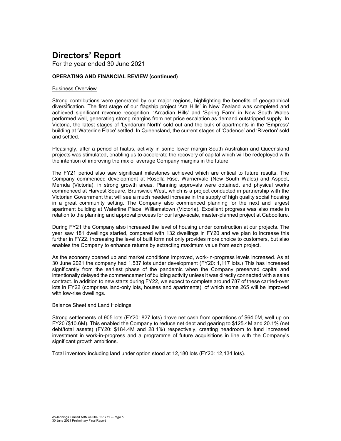For the year ended 30 June 2021

### **OPERATING AND FINANCIAL REVIEW (continued)**

### Business Overview

Strong contributions were generated by our major regions, highlighting the benefits of geographical diversification. The first stage of our flagship project 'Ara Hills' in New Zealand was completed and achieved significant revenue recognition. 'Arcadian Hills' and 'Spring Farm' in New South Wales performed well, generating strong margins from net price escalation as demand outstripped supply. In Victoria, the latest stages of 'Lyndarum North' sold out and the bulk of apartments in the 'Empress' building at 'Waterline Place' settled. In Queensland, the current stages of 'Cadence' and 'Riverton' sold and settled.

Pleasingly, after a period of hiatus, activity in some lower margin South Australian and Queensland projects was stimulated, enabling us to accelerate the recovery of capital which will be redeployed with the intention of improving the mix of average Company margins in the future.

The FY21 period also saw significant milestones achieved which are critical to future results. The Company commenced development at Rosella Rise, Warnervale (New South Wales) and Aspect, Mernda (Victoria), in strong growth areas. Planning approvals were obtained, and physical works commenced at Harvest Square, Brunswick West, which is a project conducted in partnership with the Victorian Government that will see a much needed increase in the supply of high quality social housing in a great community setting. The Company also commenced planning for the next and largest apartment building at Waterline Place, Williamstown (Victoria). Excellent progress was also made in relation to the planning and approval process for our large-scale, master-planned project at Caboolture.

During FY21 the Company also increased the level of housing under construction at our projects. The year saw 181 dwellings started, compared with 132 dwellings in FY20 and we plan to increase this further in FY22. Increasing the level of built form not only provides more choice to customers, but also enables the Company to enhance returns by extracting maximum value from each project.

As the economy opened up and market conditions improved, work-in-progress levels increased. As at 30 June 2021 the company had 1,537 lots under development (FY20: 1,117 lots.) This has increased significantly from the earliest phase of the pandemic when the Company preserved capital and intentionally delayed the commencement of building activity unless it was directly connected with a sales contract. In addition to new starts during FY22, we expect to complete around 787 of these carried-over lots in FY22 (comprises land-only lots, houses and apartments), of which some 265 will be improved with low-rise dwellings.

#### Balance Sheet and Land Holdings

Strong settlements of 905 lots (FY20: 827 lots) drove net cash from operations of \$64.0M, well up on FY20 (\$10.6M). This enabled the Company to reduce net debt and gearing to \$125.4M and 20.1% (net debt/total assets) (FY20: \$184.4M and 28.1%) respectively, creating headroom to fund increased investment in work-in-progress and a programme of future acquisitions in line with the Company's significant growth ambitions.

Total inventory including land under option stood at 12,180 lots (FY20: 12,134 lots).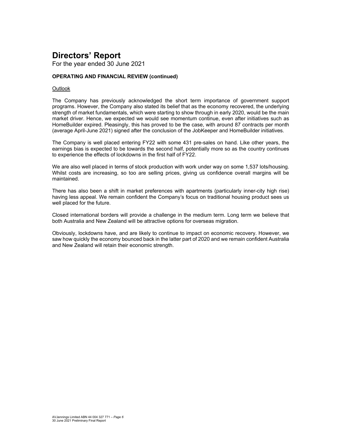For the year ended 30 June 2021

### **OPERATING AND FINANCIAL REVIEW (continued)**

#### **Outlook**

The Company has previously acknowledged the short term importance of government support programs. However, the Company also stated its belief that as the economy recovered, the underlying strength of market fundamentals, which were starting to show through in early 2020, would be the main market driver. Hence, we expected we would see momentum continue, even after initiatives such as HomeBuilder expired. Pleasingly, this has proved to be the case, with around 87 contracts per month (average April-June 2021) signed after the conclusion of the JobKeeper and HomeBuilder initiatives.

The Company is well placed entering FY22 with some 431 pre-sales on hand. Like other years, the earnings bias is expected to be towards the second half, potentially more so as the country continues to experience the effects of lockdowns in the first half of FY22.

We are also well placed in terms of stock production with work under way on some 1,537 lots/housing. Whilst costs are increasing, so too are selling prices, giving us confidence overall margins will be maintained.

There has also been a shift in market preferences with apartments (particularly inner-city high rise) having less appeal. We remain confident the Company's focus on traditional housing product sees us well placed for the future.

Closed international borders will provide a challenge in the medium term. Long term we believe that both Australia and New Zealand will be attractive options for overseas migration.

Obviously, lockdowns have, and are likely to continue to impact on economic recovery. However, we saw how quickly the economy bounced back in the latter part of 2020 and we remain confident Australia and New Zealand will retain their economic strength.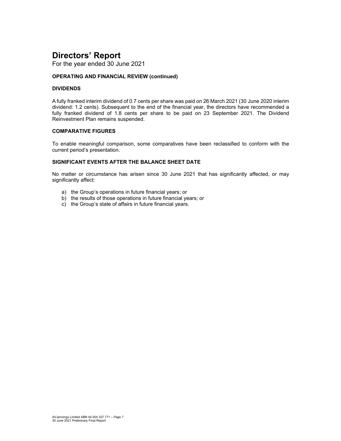For the year ended 30 June 2021

### **OPERATING AND FINANCIAL REVIEW (continued)**

### **DIVIDENDS**

A fully franked interim dividend of 0.7 cents per share was paid on 26 March 2021 (30 June 2020 interim dividend: 1.2 cents). Subsequent to the end of the financial year, the directors have recommended a fully franked dividend of 1.8 cents per share to be paid on 23 September 2021. The Dividend Reinvestment Plan remains suspended.

#### **COMPARATIVE FIGURES**

To enable meaningful comparison, some comparatives have been reclassified to conform with the current period's presentation.

### **SIGNIFICANT EVENTS AFTER THE BALANCE SHEET DATE**

No matter or circumstance has arisen since 30 June 2021 that has significantly affected, or may significantly affect:

- a) the Group's operations in future financial years; or
- b) the results of those operations in future financial years; or
- c) the Group's state of affairs in future financial years.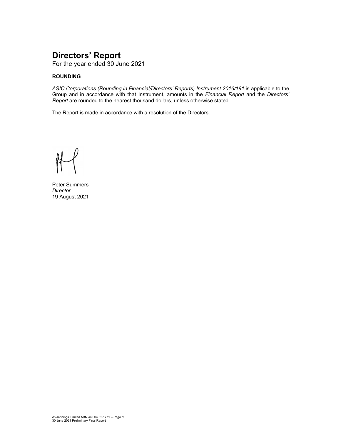For the year ended 30 June 2021

### **ROUNDING**

*ASIC Corporations (Rounding in Financial/Directors' Reports) Instrument 2016/191* is applicable to the Group and in accordance with that Instrument, amounts in the *Financial Report* and the *Directors' Report* are rounded to the nearest thousand dollars, unless otherwise stated.

The Report is made in accordance with a resolution of the Directors.

Peter Summers *Director*  19 August 2021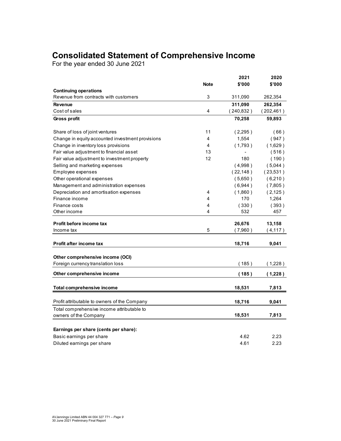### **Consolidated Statement of Comprehensive Income**

For the year ended 30 June 2021

|                                                  |             | 2021       | 2020       |
|--------------------------------------------------|-------------|------------|------------|
|                                                  | <b>Note</b> | \$'000     | \$'000     |
| <b>Continuing operations</b>                     |             |            |            |
| Revenue from contracts with customers            | 3           | 311,090    | 262,354    |
| <b>Revenue</b>                                   |             | 311,090    | 262,354    |
| Cost of sales                                    | 4           | (240, 832) | (202, 461) |
| <b>Gross profit</b>                              |             | 70,258     | 59,893     |
| Share of loss of joint ventures                  | 11          | (2,295)    | (66)       |
| Change in equity accounted investment provisions | 4           | 1,554      | (947)      |
| Change in inventory loss provisions              | 4           | (1,793)    | (1,629)    |
| Fair value adjustment to financial asset         | 13          |            | (516)      |
| Fair value adjustment to investment property     | 12          | 180        | (190)      |
| Selling and marketing expenses                   |             | (4.998)    | (5,044)    |
| Employee expenses                                |             | (22, 148)  | (23,531)   |
| Other operational expenses                       |             | (5,650)    | (6,210)    |
| Management and administration expenses           |             | (6,944)    | (7,805)    |
| Depreciation and amortisation expenses           | 4           | (1,860)    | (2, 125)   |
| Finance income                                   | 4           | 170        | 1,264      |
| Finance costs                                    | 4           | (330)      | (393)      |
| Other income                                     | 4           | 532        | 457        |
| Profit before income tax                         |             | 26,676     | 13,158     |
| Income tax                                       | 5           | (7,960)    | (4, 117)   |
| Profit after income tax                          |             | 18,716     | 9,041      |
|                                                  |             |            |            |
| Other comprehensive income (OCI)                 |             |            |            |
| Foreign currency translation loss                |             | (185)      | (1,228)    |
| Other comprehensive income                       |             | (185)      | (1,228)    |
| <b>Total comprehensive income</b>                |             | 18,531     | 7,813      |
|                                                  |             |            |            |
| Profit attributable to owners of the Company     |             | 18,716     | 9,041      |
| Total comprehensive income attributable to       |             |            |            |
| owners of the Company                            |             | 18,531     | 7,813      |
| Earnings per share (cents per share):            |             |            |            |
| Basic earnings per share                         |             | 4.62       | 2.23       |
| Diluted earnings per share                       |             | 4.61       | 2.23       |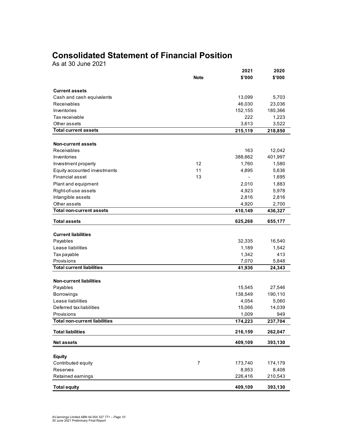### **Consolidated Statement of Financial Position**

As at 30 June 2021

|                                      | <b>Note</b>    | 2021<br>\$'000 | 2020<br>\$'000 |
|--------------------------------------|----------------|----------------|----------------|
|                                      |                |                |                |
| <b>Current assets</b>                |                |                |                |
| Cash and cash equivalents            |                | 13,099         | 5,703          |
| Receivables                          |                | 46,030         | 23,036         |
| Inventories                          |                | 152,155        | 185,366        |
| Tax receivable                       |                | 222            | 1,223          |
| Other assets                         |                | 3,613          | 3,522          |
| <b>Total current assets</b>          |                | 215,119        | 218,850        |
| <b>Non-current assets</b>            |                |                |                |
| <b>Receivables</b>                   |                | 163            | 12,042         |
| Inventories                          |                | 388,662        | 401,997        |
| Investment property                  | 12             | 1,760          | 1,580          |
| Equity accounted investments         | 11             | 4,895          | 5,636          |
| <b>Financial asset</b>               | 13             |                | 1,695          |
| Plant and equipment                  |                | 2,010          | 1,883          |
| Right-of-use assets                  |                | 4,923          | 5,978          |
| Intangible assets                    |                | 2,816          | 2,816          |
| Other assets                         |                | 4,920          | 2,700          |
| <b>Total non-current assets</b>      |                | 410,149        | 436,327        |
| <b>Total assets</b>                  |                | 625,268        | 655,177        |
|                                      |                |                |                |
| <b>Current liabilities</b>           |                |                |                |
| Payables                             |                | 32,335         | 16,540         |
| Lease liabilities                    |                | 1,189          | 1,542          |
| Tax payable                          |                | 1,342          | 413            |
| Provisions                           |                | 7,070          | 5,848          |
| <b>Total current liabilities</b>     |                | 41,936         | 24,343         |
| <b>Non-current liabilities</b>       |                |                |                |
| Payables                             |                | 15,545         | 27,546         |
| <b>Borrowings</b>                    |                | 138,549        | 190,110        |
| Lease liabilities                    |                | 4,054          | 5,060          |
| Deferred tax liabilities             |                | 15,066         | 14,039         |
| Provisions                           |                | 1,009          | 949            |
| <b>Total non-current liabilities</b> |                | 174,223        | 237,704        |
| <b>Total liabilities</b>             |                | 216,159        | 262,047        |
| <b>Net assets</b>                    |                | 409,109        | 393,130        |
|                                      |                |                |                |
| <b>Equity</b><br>Contributed equity  | $\overline{7}$ |                |                |
|                                      |                | 173,740        | 174,179        |
| Reserves                             |                | 8,953          | 8,408          |
| Retained earnings                    |                | 226,416        | 210,543        |
| <b>Total equity</b>                  |                | 409,109        | 393,130        |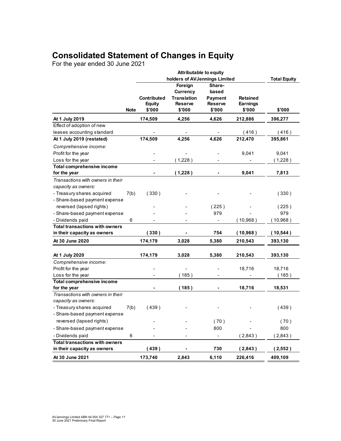### **Consolidated Statement of Changes in Equity**

For the year ended 30 June 2021

|                                          |             | holders of AVJennings Limited |                    |                          |                 | <b>Total Equity</b> |
|------------------------------------------|-------------|-------------------------------|--------------------|--------------------------|-----------------|---------------------|
|                                          |             |                               | Foreign            | Share-                   |                 |                     |
|                                          |             |                               | Currency           | based                    |                 |                     |
|                                          |             | <b>Contributed</b>            | <b>Translation</b> | <b>Payment</b>           | <b>Retained</b> |                     |
|                                          |             | <b>Equity</b>                 | <b>Reserve</b>     | <b>Reserve</b>           | <b>Earnings</b> |                     |
|                                          | <b>Note</b> | \$'000                        | \$'000             | \$'000                   | \$'000          | \$'000              |
| At 1 July 2019                           |             | 174,509                       | 4,256              | 4,626                    | 212,886         | 396,277             |
| Effect of adoption of new                |             |                               |                    |                          |                 |                     |
| leases accounting standard               |             |                               |                    |                          | (416)           | (416)               |
| At 1 July 2019 (restated)                |             | 174,509                       | 4,256              | 4,626                    | 212,470         | 395,861             |
| Comprehensive income:                    |             |                               |                    |                          |                 |                     |
| Profit for the year                      |             |                               |                    |                          | 9,041           | 9,041               |
| Loss for the year                        |             |                               | (1,228)            |                          |                 | (1,228)             |
| <b>Total comprehensive income</b>        |             |                               |                    |                          |                 |                     |
| for the year                             |             |                               | (1,228)            | $\blacksquare$           | 9,041           | 7,813               |
| Transactions with owners in their        |             |                               |                    |                          |                 |                     |
| capacity as owners:                      |             |                               |                    |                          |                 |                     |
| - Treasury shares acquired               | 7(b)        | (330)                         |                    |                          |                 | (330)               |
| - Share-based payment expense            |             |                               |                    |                          |                 |                     |
| reversed (lapsed rights)                 |             |                               |                    | (225)                    |                 | (225)               |
| - Share-based payment expense            |             |                               |                    | 979                      |                 | 979                 |
| - Dividends paid                         | 6           |                               |                    | $\blacksquare$           | (10,968)        | (10,968)            |
| <b>Total transactions with owners</b>    |             |                               |                    |                          |                 |                     |
| in their capacity as owners              |             | (330)                         |                    | 754                      | (10,968)        | (10, 544)           |
| At 30 June 2020                          |             | 174,179                       | 3,028              | 5,380                    | 210,543         | 393,130             |
|                                          |             |                               |                    |                          |                 |                     |
| At 1 July 2020                           |             | 174,179                       | 3,028              | 5,380                    | 210,543         | 393,130             |
| Comprehensive income:                    |             |                               |                    |                          |                 |                     |
| Profit for the year<br>Loss for the year |             |                               | (185)              |                          | 18,716          | 18,716<br>(185)     |
| Total comprehensive income               |             |                               |                    |                          |                 |                     |
| for the year                             |             |                               | (185)              |                          | 18,716          | 18,531              |
| Transactions with owners in their        |             |                               |                    |                          |                 |                     |
| capacity as owners:                      |             |                               |                    |                          |                 |                     |
| - Treasury shares acquired               | 7(b)        | (439)                         |                    |                          |                 | (439)               |
| - Share-based payment expense            |             |                               |                    |                          |                 |                     |
| reversed (lapsed rights)                 |             |                               |                    | (70)                     |                 | (70)                |
| - Share-based payment expense            |             |                               |                    | 800                      |                 | 800                 |
| - Dividends paid                         | 6           |                               |                    | $\overline{\phantom{a}}$ | (2,843)         | (2,843)             |
| <b>Total transactions with owners</b>    |             |                               |                    |                          |                 |                     |
| in their capacity as owners              |             | (439)                         |                    | 730                      | (2,843)         | (2,552)             |
| At 30 June 2021                          |             | 173,740                       | 2,843              | 6,110                    | 226,416         | 409,109             |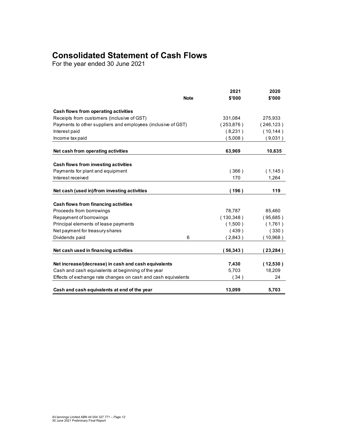### **Consolidated Statement of Cash Flows**

For the year ended 30 June 2021

|                                                               |             | 2021       | 2020       |
|---------------------------------------------------------------|-------------|------------|------------|
|                                                               | <b>Note</b> | \$'000     | \$'000     |
| Cash flows from operating activities                          |             |            |            |
| Receipts from customers (inclusive of GST)                    |             | 331,084    | 275,933    |
| Payments to other suppliers and employees (inclusive of GST)  |             | (253.876)  | (246, 123) |
| Interest paid                                                 |             | (8, 231)   | (10, 144)  |
| Income tax paid                                               |             | (5,008)    | (9,031)    |
| Net cash from operating activities                            |             | 63,969     | 10,635     |
| Cash flows from investing activities                          |             |            |            |
| Payments for plant and equipment                              |             | (366)      | (1, 145)   |
| Interest received                                             |             | 170        | 1,264      |
| Net cash (used in)/from investing activities                  |             | (196)      | 119        |
| Cash flows from financing activities                          |             |            |            |
| Proceeds from borrowings                                      |             | 78,787     | 85,460     |
| Repayment of borrowings                                       |             | (130, 348) | (95,685)   |
| Principal elements of lease payments                          |             | (1,500)    | (1,761)    |
| Net payment for treasury shares                               |             | (439)      | (330)      |
| Dividends paid                                                | 6           | (2,843)    | (10,968)   |
| Net cash used in financing activities                         |             | 56,343)    | (23, 284)  |
| Net increase/(decrease) in cash and cash equivalents          |             | 7,430      | (12,530)   |
| Cash and cash equivalents at beginning of the year            |             | 5,703      | 18,209     |
| Effects of exchange rate changes on cash and cash equivalents |             | (34)       | 24         |
| Cash and cash equivalents at end of the year                  |             | 13,099     | 5,703      |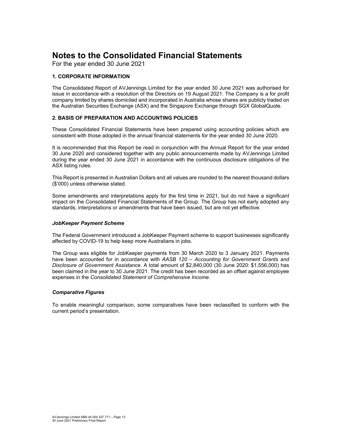For the year ended 30 June 2021

### **1. CORPORATE INFORMATION**

The Consolidated Report of AVJennings Limited for the year ended 30 June 2021 was authorised for issue in accordance with a resolution of the Directors on 19 August 2021. The Company is a for profit company limited by shares domiciled and incorporated in Australia whose shares are publicly traded on the Australian Securities Exchange (ASX) and the Singapore Exchange through SGX GlobalQuote.

### **2. BASIS OF PREPARATION AND ACCOUNTING POLICIES**

These Consolidated Financial Statements have been prepared using accounting policies which are consistent with those adopted in the annual financial statements for the year ended 30 June 2020.

It is recommended that this Report be read in conjunction with the Annual Report for the year ended 30 June 2020 and considered together with any public announcements made by AVJennings Limited during the year ended 30 June 2021 in accordance with the continuous disclosure obligations of the ASX listing rules.

This Report is presented in Australian Dollars and all values are rounded to the nearest thousand dollars (\$'000) unless otherwise stated.

Some amendments and interpretations apply for the first time in 2021, but do not have a significant impact on the Consolidated Financial Statements of the Group. The Group has not early adopted any standards, interpretations or amendments that have been issued, but are not yet effective.

### *JobKeeper Payment Scheme*

The Federal Government introduced a JobKeeper Payment scheme to support businesses significantly affected by COVID-19 to help keep more Australians in jobs.

The Group was eligible for JobKeeper payments from 30 March 2020 to 3 January 2021. Payments have been accounted for in accordance with *AASB 120 – Accounting for Government Grants and Disclosure of Government Assistance*. A total amount of \$2,840,000 (30 June 2020: \$1,556,000) has been claimed in the year to 30 June 2021. The credit has been recorded as an offset against employee expenses in the *Consolidated Statement of Comprehensive Income*.

### *Comparative Figures*

To enable meaningful comparison, some comparatives have been reclassified to conform with the current period's presentation.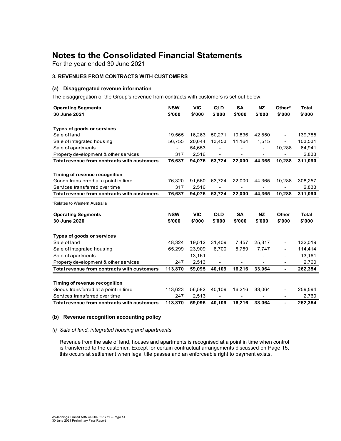For the year ended 30 June 2021

### **3. REVENUES FROM CONTRACTS WITH CUSTOMERS**

### **(a) Disaggregated revenue information**

The disaggregation of the Group's revenue from contracts with customers is set out below:

| <b>Operating Segments</b>                   | <b>NSW</b> | <b>VIC</b> | <b>QLD</b> | <b>SA</b>                | <b>NZ</b>                    | Other*                   | <b>Total</b> |
|---------------------------------------------|------------|------------|------------|--------------------------|------------------------------|--------------------------|--------------|
| 30 June 2021                                | \$'000     | \$'000     | \$'000     | \$'000                   | \$'000                       | \$'000                   | \$'000       |
|                                             |            |            |            |                          |                              |                          |              |
| Types of goods or services                  |            |            |            |                          |                              |                          |              |
| Sale of land                                | 19,565     | 16,263     | 50,271     | 10,836                   | 42,850                       | $\overline{\phantom{a}}$ | 139,785      |
| Sale of integrated housing                  | 56,755     | 20.644     | 13,453     | 11,164                   | 1,515                        | $\overline{\phantom{a}}$ | 103,531      |
| Sale of apartments                          |            | 54,653     |            |                          |                              | 10,288                   | 64,941       |
| Property development & other services       | 317        | 2,516      | -          | $\overline{\phantom{a}}$ | $\qquad \qquad \blacksquare$ |                          | 2,833        |
| Total revenue from contracts with customers | 76,637     | 94,076     | 63,724     | 22,000                   | 44,365                       | 10,288                   | 311,090      |
|                                             |            |            |            |                          |                              |                          |              |
| Timing of revenue recognition               |            |            |            |                          |                              |                          |              |
| Goods transferred at a point in time        | 76,320     | 91,560     | 63,724     | 22,000                   | 44,365                       | 10,288                   | 308,257      |
| Services transferred over time              | 317        | 2,516      |            |                          |                              |                          | 2,833        |
| Total revenue from contracts with customers | 76,637     | 94,076     | 63,724     | 22,000                   | 44,365                       | 10,288                   | 311,090      |
| *Relates to Western Australia               |            |            |            |                          |                              |                          |              |
| <b>Operating Segments</b>                   | <b>NSW</b> | <b>VIC</b> | <b>QLD</b> | <b>SA</b>                | <b>NZ</b>                    | <b>Other</b>             | Total        |
| 30 June 2020                                | \$'000     | \$'000     | \$'000     | \$'000                   | \$'000                       | \$'000                   | \$'000       |
| Types of goods or services                  |            |            |            |                          |                              |                          |              |
| Sale of land                                | 48,324     | 19,512     | 31,409     | 7,457                    | 25,317                       | $\overline{\phantom{a}}$ | 132,019      |
| Sale of integrated housing                  | 65,299     | 23,909     | 8,700      | 8,759                    | 7,747                        |                          | 114,414      |
| Sale of apartments                          |            | 13,161     |            |                          |                              |                          | 13,161       |
| Property development & other services       | 247        | 2,513      | ÷,         |                          |                              |                          | 2,760        |
| Total revenue from contracts with customers | 113,870    | 59,095     | 40,109     | 16,216                   | 33,064                       | $\frac{1}{2}$            | 262,354      |
|                                             |            |            |            |                          |                              |                          |              |
| Timing of revenue recognition               |            |            |            |                          |                              |                          |              |
| Goods transferred at a point in time        | 113,623    | 56,582     | 40,109     | 16,216                   | 33,064                       | $\overline{\phantom{a}}$ | 259,594      |
| Services transferred over time              | 247        | 2,513      |            |                          |                              | $\overline{\phantom{a}}$ | 2,760        |
| Total revenue from contracts with customers | 113,870    | 59,095     | 40,109     | 16,216                   | 33,064                       | ä,                       | 262,354      |

#### **(b) Revenue recognition accounting policy**

#### *(i) Sale of land, integrated housing and apartments*

Revenue from the sale of land, houses and apartments is recognised at a point in time when control is transferred to the customer. Except for certain contractual arrangements discussed on Page 15, this occurs at settlement when legal title passes and an enforceable right to payment exists.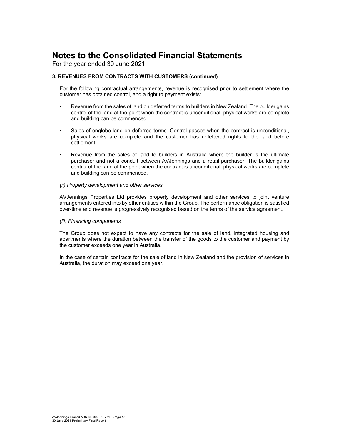For the year ended 30 June 2021

### **3. REVENUES FROM CONTRACTS WITH CUSTOMERS (continued)**

For the following contractual arrangements, revenue is recognised prior to settlement where the customer has obtained control, and a right to payment exists:

- Revenue from the sales of land on deferred terms to builders in New Zealand. The builder gains control of the land at the point when the contract is unconditional, physical works are complete and building can be commenced.
- Sales of englobo land on deferred terms. Control passes when the contract is unconditional, physical works are complete and the customer has unfettered rights to the land before settlement.
- Revenue from the sales of land to builders in Australia where the builder is the ultimate purchaser and not a conduit between AVJennings and a retail purchaser. The builder gains control of the land at the point when the contract is unconditional, physical works are complete and building can be commenced.

#### *(ii) Property development and other services*

AVJennings Properties Ltd provides property development and other services to joint venture arrangements entered into by other entities within the Group. The performance obligation is satisfied over-time and revenue is progressively recognised based on the terms of the service agreement.

#### *(iii) Financing components*

The Group does not expect to have any contracts for the sale of land, integrated housing and apartments where the duration between the transfer of the goods to the customer and payment by the customer exceeds one year in Australia.

In the case of certain contracts for the sale of land in New Zealand and the provision of services in Australia, the duration may exceed one year.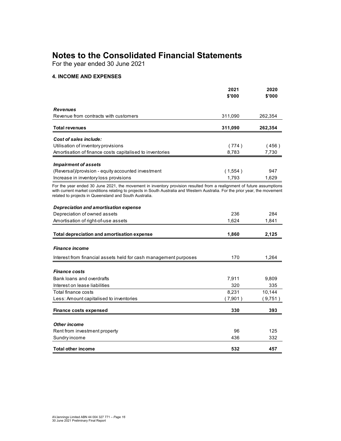For the year ended 30 June 2021

### **4. INCOME AND EXPENSES**

|                                                                                                                                                                                                                                                                                                                    | 2021    | 2020    |
|--------------------------------------------------------------------------------------------------------------------------------------------------------------------------------------------------------------------------------------------------------------------------------------------------------------------|---------|---------|
|                                                                                                                                                                                                                                                                                                                    | \$'000  | \$'000  |
| <b>Revenues</b>                                                                                                                                                                                                                                                                                                    |         |         |
| Revenue from contracts with customers                                                                                                                                                                                                                                                                              | 311,090 | 262,354 |
| <b>Total revenues</b>                                                                                                                                                                                                                                                                                              | 311,090 | 262,354 |
| Cost of sales include:                                                                                                                                                                                                                                                                                             |         |         |
| Utilisation of inventory provisions                                                                                                                                                                                                                                                                                | (774)   | (456)   |
| Amortisation of finance costs capitalised to inventories                                                                                                                                                                                                                                                           | 8,783   | 7,730   |
| <b>Impairment of assets</b>                                                                                                                                                                                                                                                                                        |         |         |
| (Reversal)/provision - equity accounted investment                                                                                                                                                                                                                                                                 | (1,554) | 947     |
| Increase in inventory loss provisions                                                                                                                                                                                                                                                                              | 1.793   | 1,629   |
| For the year ended 30 June 2021, the movement in inventory provision resulted from a realignment of future assumptions<br>with current market conditions relating to projects in South Australia and Western Australia. For the prior year, the movement<br>related to projects in Queensland and South Australia. |         |         |
| <b>Depreciation and amortisation expense</b>                                                                                                                                                                                                                                                                       |         |         |
| Depreciation of owned assets                                                                                                                                                                                                                                                                                       | 236     | 284     |
| Amortisation of right-of-use assets                                                                                                                                                                                                                                                                                | 1.624   | 1.841   |
| <b>Total depreciation and amortisation expense</b>                                                                                                                                                                                                                                                                 | 1,860   | 2,125   |
|                                                                                                                                                                                                                                                                                                                    |         |         |
| <i><b>Finance income</b></i>                                                                                                                                                                                                                                                                                       |         |         |
| Interest from financial assets held for cash management purposes                                                                                                                                                                                                                                                   | 170     | 1.264   |
| <b>Finance costs</b>                                                                                                                                                                                                                                                                                               |         |         |
| Bank loans and overdrafts                                                                                                                                                                                                                                                                                          | 7,911   | 9,809   |
| Interest on lease liabilities                                                                                                                                                                                                                                                                                      | 320     | 335     |
| Total finance costs                                                                                                                                                                                                                                                                                                | 8,231   | 10,144  |
| Less: Amount capitalised to inventories                                                                                                                                                                                                                                                                            | (7,901) | (9,751) |
| <b>Finance costs expensed</b>                                                                                                                                                                                                                                                                                      | 330     | 393     |
|                                                                                                                                                                                                                                                                                                                    |         |         |
| <b>Other income</b>                                                                                                                                                                                                                                                                                                |         |         |
| Rent from investment property                                                                                                                                                                                                                                                                                      | 96      | 125     |
| Sundry income                                                                                                                                                                                                                                                                                                      | 436     | 332     |
| <b>Total other income</b>                                                                                                                                                                                                                                                                                          | 532     | 457     |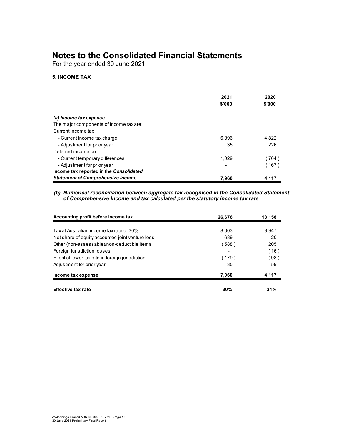For the year ended 30 June 2021

### **5. INCOME TAX**

|                                          | 2021<br>\$'000 | 2020<br>\$'000 |
|------------------------------------------|----------------|----------------|
| (a) Income tax expense                   |                |                |
| The major components of income tax are:  |                |                |
| Current income tax                       |                |                |
|                                          |                |                |
| - Current income tax charge              | 6.896          | 4,822          |
| - Adjustment for prior year              | 35             | 226            |
| Deferred income tax                      |                |                |
| - Current temporary differences          | 1.029          | 764)           |
| - Adjustment for prior year              |                | 167)           |
| Income tax reported in the Consolidated  |                |                |
| <b>Statement of Comprehensive Income</b> | 7.960          | 4,117          |

### *(b) Numerical reconciliation between aggregate tax recognised in the Consolidated Statement of Comprehensive Income and tax calculated per the statutory income tax rate*

| Accounting profit before income tax              | 26,676 | 13,158 |  |
|--------------------------------------------------|--------|--------|--|
| Tax at Australian income tax rate of 30%         | 8.003  | 3.947  |  |
| Net share of equity accounted joint venture loss | 689    | 20     |  |
| Other (non-assessable)/non-deductible items      | (588)  | 205    |  |
| Foreign jurisdiction losses                      |        | (16)   |  |
| Effect of lower tax rate in foreign jurisdiction | (179)  | ່ 98)  |  |
| Adjustment for prior year                        | 35     | 59     |  |
| Income tax expense                               | 7.960  | 4,117  |  |
| <b>Effective tax rate</b>                        | 30%    | 31%    |  |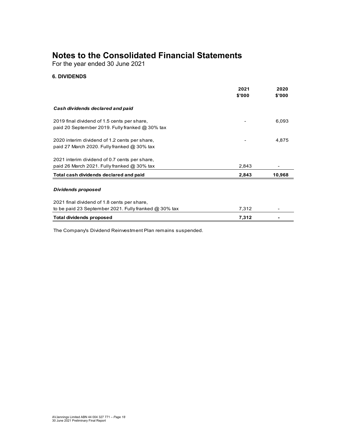For the year ended 30 June 2021

### **6. DIVIDENDS**

|                                                                                                        | 2021<br>\$'000 | 2020<br>\$'000 |
|--------------------------------------------------------------------------------------------------------|----------------|----------------|
| Cash dividends declared and paid                                                                       |                |                |
| 2019 final dividend of 1.5 cents per share,<br>paid 20 September 2019. Fully franked $@30\%$ tax       |                | 6,093          |
| 2020 interim dividend of 1.2 cents per share,<br>paid 27 March 2020. Fully franked $@30\%$ tax         |                | 4,875          |
| 2021 interim dividend of 0.7 cents per share,<br>paid 26 March 2021. Fully franked $@30\%$ tax         | 2,843          |                |
| Total cash dividends declared and paid                                                                 | 2,843          | 10,968         |
| Dividends proposed                                                                                     |                |                |
| 2021 final dividend of 1.8 cents per share,<br>to be paid 23 September 2021. Fully franked $@30\%$ tax | 7,312          |                |
| <b>Total dividends proposed</b>                                                                        | 7,312          |                |

The Company's Dividend Reinvestment Plan remains suspended.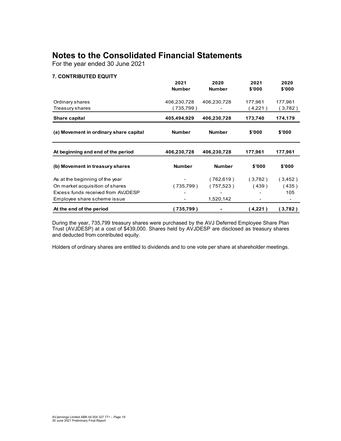For the year ended 30 June 2021

### **7. CONTRIBUTED EQUITY**

|                                        | 2021          | 2020          | 2021    | 2020    |
|----------------------------------------|---------------|---------------|---------|---------|
|                                        | <b>Number</b> | <b>Number</b> | \$'000  | \$'000  |
| Ordinary shares                        | 406,230,728   | 406,230,728   | 177,961 | 177,961 |
| Treasury shares                        | (735,799)     |               | (4,221) | (3,782) |
| Share capital                          | 405,494,929   | 406,230,728   | 173,740 | 174,179 |
| (a) Movement in ordinary share capital | <b>Number</b> | <b>Number</b> | \$'000  | \$'000  |
| At beginning and end of the period     | 406,230,728   | 406,230,728   | 177,961 | 177,961 |
| (b) Movement in treasury shares        | <b>Number</b> | <b>Number</b> | \$'000  | \$'000  |
| As at the beginning of the year        |               | (762, 619)    | (3,782) | (3,452) |
| On market acquisition of shares        | (735,799)     | (757,523)     | (439)   | (435)   |
| Excess funds received from AVJDESP     |               |               |         | 105     |
| Employee share scheme issue            |               | 1,520,142     |         |         |
| At the end of the period               | 735,799)      |               | 4,221   | (3,782) |

During the year, 735,799 treasury shares were purchased by the AVJ Deferred Employee Share Plan Trust (AVJDESP) at a cost of \$439,000. Shares held by AVJDESP are disclosed as treasury shares and deducted from contributed equity.

Holders of ordinary shares are entitled to dividends and to one vote per share at shareholder meetings.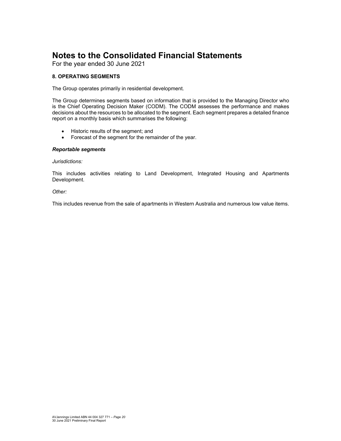For the year ended 30 June 2021

### **8. OPERATING SEGMENTS**

The Group operates primarily in residential development.

The Group determines segments based on information that is provided to the Managing Director who is the Chief Operating Decision Maker (CODM). The CODM assesses the performance and makes decisions about the resources to be allocated to the segment. Each segment prepares a detailed finance report on a monthly basis which summarises the following:

- Historic results of the segment; and
- Forecast of the segment for the remainder of the year.

### *Reportable segments*

#### *Jurisdictions:*

This includes activities relating to Land Development, Integrated Housing and Apartments Development.

### *Other:*

This includes revenue from the sale of apartments in Western Australia and numerous low value items.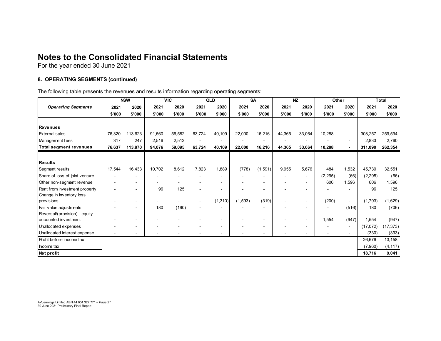For the year ended 30 June 2021

### **8. OPERATING SEGMENTS (continued)**

The following table presents the revenues and results information regarding operating segments:

|                                |        | <b>NSW</b>                   |        | <b>VIC</b> |        | QLD                      |          | <b>SA</b> |        | <b>NZ</b>                | Other                    |                          |          | <b>Total</b> |
|--------------------------------|--------|------------------------------|--------|------------|--------|--------------------------|----------|-----------|--------|--------------------------|--------------------------|--------------------------|----------|--------------|
| <b>Operating Segments</b>      | 2021   | 2020                         | 2021   | 2020       | 2021   | 2020                     | 2021     | 2020      | 2021   | 2020                     | 2021                     | 2020                     | 2021     | 2020         |
|                                | \$'000 | \$'000                       | \$'000 | \$'000     | \$'000 | \$'000                   | \$'000   | \$'000    | \$'000 | \$'000                   | \$'000                   | \$'000                   | \$'000   | \$'000       |
|                                |        |                              |        |            |        |                          |          |           |        |                          |                          |                          |          |              |
| <b>Revenues</b>                |        |                              |        |            |        |                          |          |           |        |                          |                          |                          |          |              |
| <b>External sales</b>          | 76,320 | 113,623                      | 91,560 | 56,582     | 63,724 | 40,109                   | 22,000   | 16,216    | 44,365 | 33,064                   | 10,288                   | $\overline{\phantom{a}}$ | 308,257  | 259,594      |
| Management fees                | 317    | 247                          | 2,516  | 2,513      |        |                          |          |           |        |                          |                          | $\blacksquare$           | 2,833    | 2,760        |
| <b>Total segment revenues</b>  | 76,637 | 113,870                      | 94,076 | 59,095     | 63,724 | 40,109                   | 22,000   | 16,216    | 44,365 | 33,064                   | 10,288                   | $\blacksquare$           | 311,090  | 262,354      |
|                                |        |                              |        |            |        |                          |          |           |        |                          |                          |                          |          |              |
| <b>Results</b>                 |        |                              |        |            |        |                          |          |           |        |                          |                          |                          |          |              |
| Segment results                | 17,544 | 16,433                       | 10,702 | 8,612      | 7,823  | 1,889                    | (778)    | (1, 591)  | 9,955  | 5,676                    | 484                      | 1,532                    | 45,730   | 32,551       |
| Share of loss of joint venture |        |                              |        |            |        |                          |          |           |        | $\overline{\phantom{a}}$ | (2, 295)                 | (66)                     | (2,295)  | (66)         |
| Other non-segment revenue      |        | $\blacksquare$               |        |            |        | $\overline{\phantom{0}}$ |          |           |        |                          | 606                      | 1,596                    | 606      | 1,596        |
| Rent from investment property  |        | $\blacksquare$               | 96     | 125        |        | $\overline{\phantom{0}}$ |          |           |        |                          |                          |                          | 96       | 125          |
| Change in inventory loss       |        |                              |        |            |        |                          |          |           |        |                          |                          |                          |          |              |
| provisions                     |        | $\overline{\phantom{a}}$     |        |            |        | (1, 310)                 | (1, 593) | (319)     |        | $\blacksquare$           | (200)                    | $\blacksquare$           | (1,793)  | (1,629)      |
| Fair value adjustments         |        | $\blacksquare$               | 180    | (190)      |        |                          |          |           |        | $\overline{\phantom{0}}$ |                          | (516)                    | 180      | (706)        |
| Reversal/(provision) - equity  |        |                              |        |            |        |                          |          |           |        |                          |                          |                          |          |              |
| accounted investment           |        | $\overline{\phantom{0}}$     |        |            |        |                          |          |           |        | $\overline{\phantom{a}}$ | 1,554                    | (947)                    | 1,554    | (947)        |
| Unallocated expenses           |        | $\qquad \qquad \blacksquare$ |        | -          |        | $\blacksquare$           |          |           |        | $\overline{\phantom{a}}$ |                          | $\overline{\phantom{a}}$ | (17,072) | (17, 373)    |
| Unallocated interest expense   |        | $\blacksquare$               |        |            |        | $\blacksquare$           |          | ۰         |        | $\overline{\phantom{a}}$ | $\overline{\phantom{a}}$ | $\blacksquare$           | (330)    | (393)        |
| Profit before income tax       |        |                              |        |            |        |                          |          |           |        |                          |                          |                          | 26,676   | 13,158       |
| Income tax                     |        |                              |        |            |        |                          |          |           |        |                          |                          |                          | (7,960)  | (4, 117)     |
| Net profit                     |        |                              |        |            |        |                          |          |           |        |                          |                          |                          | 18,716   | 9,041        |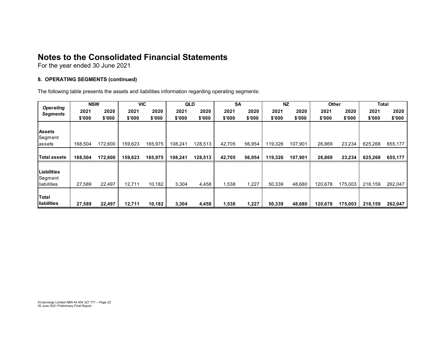For the year ended 30 June 2021

### **8. OPERATING SEGMENTS (continued)**

The following table presents the assets and liabilities information regarding operating segments:

| <b>Operating</b>   | <b>NSW</b> |         |         | <b>VIC</b> | <b>QLD</b> |         | <b>SA</b> |        | <b>NZ</b> |         | Other   |         |         | <b>Total</b> |
|--------------------|------------|---------|---------|------------|------------|---------|-----------|--------|-----------|---------|---------|---------|---------|--------------|
| <b>Segments</b>    | 2021       | 2020    | 2021    | 2020       | 2021       | 2020    | 2021      | 2020   | 2021      | 2020    | 2021    | 2020    | 2021    | 2020         |
|                    | \$'000     | \$'000  | \$'000  | \$'000     | \$'000     | \$'000  | \$'000    | \$'000 | \$'000    | \$'000  | \$'000  | \$'000  | \$'000  | \$'000       |
|                    |            |         |         |            |            |         |           |        |           |         |         |         |         |              |
| <b>Assets</b>      |            |         |         |            |            |         |           |        |           |         |         |         |         |              |
| Segment            |            |         |         |            |            |         |           |        |           |         |         |         |         |              |
| lassets            | 168,504    | 172,600 | 159,623 | 165,975    | 108,241    | 128,513 | 42,705    | 56,954 | 119,326   | 107,901 | 26,869  | 23,234  | 625,268 | 655,177      |
|                    |            |         |         |            |            |         |           |        |           |         |         |         |         |              |
| Total assets       | 168,504    | 172,600 | 159,623 | 165,975    | 108,241    | 128,513 | 42,705    | 56,954 | 119,326   | 107,901 | 26,869  | 23,234  | 625,268 | 655,177      |
|                    |            |         |         |            |            |         |           |        |           |         |         |         |         |              |
| <b>Liabilities</b> |            |         |         |            |            |         |           |        |           |         |         |         |         |              |
| Segment            |            |         |         |            |            |         |           |        |           |         |         |         |         |              |
| liabilities        | 27,589     | 22,497  | 12,711  | 10,182     | 3,304      | 4,458   | 1,538     | 1,227  | 50,339    | 48,680  | 120,678 | 175,003 | 216,159 | 262,047      |
|                    |            |         |         |            |            |         |           |        |           |         |         |         |         |              |
| Total              |            |         |         |            |            |         |           |        |           |         |         |         |         |              |
| liabilities        | 27,589     | 22,497  | 12,711  | 10,182     | 3,304      | 4,458   | 1,538     | 1,227  | 50,339    | 48,680  | 120,678 | 175,003 | 216,159 | 262,047      |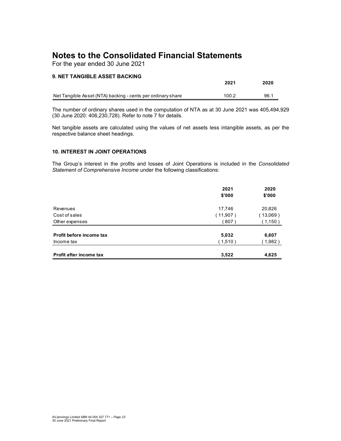For the year ended 30 June 2021

### **9. NET TANGIBLE ASSET BACKING**

|                                                             | 2021  | 2020 |
|-------------------------------------------------------------|-------|------|
| Net Tangible Asset (NTA) backing - cents per ordinary share | 100.2 | 96.1 |

The number of ordinary shares used in the computation of NTA as at 30 June 2021 was 405,494,929 (30 June 2020: 406,230,728). Refer to note 7 for details.

Net tangible assets are calculated using the values of net assets less intangible assets, as per the respective balance sheet headings.

### **10. INTEREST IN JOINT OPERATIONS**

The Group's interest in the profits and losses of Joint Operations is included in the *Consolidated Statement of Comprehensive Income* under the following classifications:

|                          | 2021     | 2020     |
|--------------------------|----------|----------|
|                          | \$'000   | \$'000   |
| Revenues                 | 17,746   | 20,826   |
| Cost of sales            | (11,907) | (13,069) |
| Other expenses           | 807)     | (1,150)  |
| Profit before income tax | 5,032    | 6,607    |
| Income tax               | (1,510)  | (1,982)  |
| Profit after income tax  | 3,522    | 4,625    |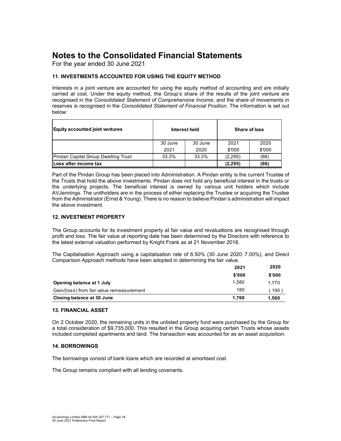For the year ended 30 June 2021

### **11. INVESTMENTS ACCOUNTED FOR USING THE EQUITY METHOD**

Interests in a joint venture are accounted for using the equity method of accounting and are initially carried at cost. Under the equity method, the Group's share of the results of the joint venture are recognised in the *Consolidated Statement of Comprehensive Income*, and the share of movements in reserves is recognised in the *Consolidated Statement of Financial Position*. The information is set out below:

| <b>Equity accounted joint ventures</b>     |         | Interest held | Share of loss |        |  |
|--------------------------------------------|---------|---------------|---------------|--------|--|
|                                            | 30 June | 30 June       | 2021          | 2020   |  |
|                                            | 2021    | 2020          | \$'000        | \$'000 |  |
| <b>Pindan Capital Group Dwelling Trust</b> | 33.3%   | 33.3%         | (2,295)       | (66)   |  |
| Loss after income tax                      |         |               | (2, 295)      | (66)   |  |

Part of the Pindan Group has been placed into Administration. A Pindan entity is the current Trustee of the Trusts that hold the above investments. Pindan does not hold any beneficial interest in the trusts or the underlying projects. The beneficial interest is owned by various unit holders which include AVJennings. The unitholders are in the process of either replacing the Trustee or acquiring the Trustee from the Administrator (Ernst & Young). There is no reason to believe Pindan's administration will impact the above investment.

### **12. INVESTMENT PROPERTY**

The Group accounts for its investment property at fair value and revaluations are recognised through profit and loss. The fair value at reporting date has been determined by the Directors with reference to the latest external valuation performed by Knight Frank as at 21 November 2018.

The Capitalisation Approach using a capitalisation rate of 6.50% (30 June 2020: 7.00%), and Direct Comparison Approach methods have been adopted in determining the fair value.

|                                           | 2021   | 2020        |
|-------------------------------------------|--------|-------------|
|                                           | \$'000 | \$'000      |
| Opening balance at 1 July                 | 1.580  | 1.770       |
| Gain/(loss) from fair value remeasurement | 180    | $190^\circ$ |
| Closing balance at 30 June                | 1.760  | 1.580       |

### **13. FINANCIAL ASSET**

On 2 October 2020, the remaining units in the unlisted property fund were purchased by the Group for a total consideration of \$9,735,000. This resulted in the Group acquiring certain Trusts whose assets included completed apartments and land. The transaction was accounted for as an asset acquisition.

### **14. BORROWINGS**

The borrowings consist of bank loans which are recorded at amortised cost.

The Group remains compliant with all lending covenants.